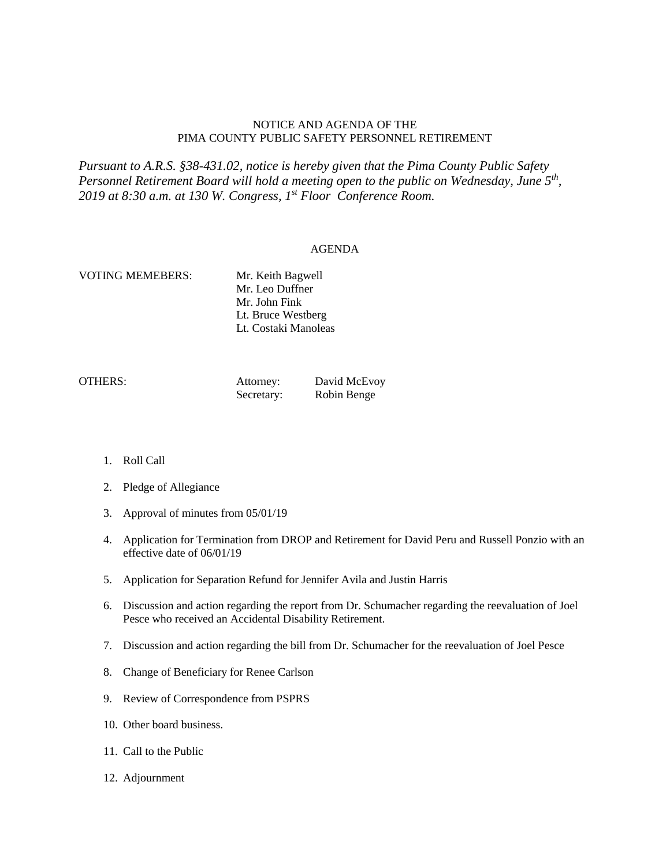## NOTICE AND AGENDA OF THE PIMA COUNTY PUBLIC SAFETY PERSONNEL RETIREMENT

*Pursuant to A.R.S. §38-431.02, notice is hereby given that the Pima County Public Safety Personnel Retirement Board will hold a meeting open to the public on Wednesday, June 5th, 2019 at 8:30 a.m. at 130 W. Congress, 1st Floor Conference Room.*

## AGENDA

## VOTING MEMEBERS: Mr. Keith Bagwell

Mr. Leo Duffner Mr. John Fink Lt. Bruce Westberg Lt. Costaki Manoleas

| <b>OTHERS:</b> | Attorney:  | David McEvoy |
|----------------|------------|--------------|
|                | Secretary: | Robin Benge  |

- 1. Roll Call
- 2. Pledge of Allegiance
- 3. Approval of minutes from 05/01/19
- 4. Application for Termination from DROP and Retirement for David Peru and Russell Ponzio with an effective date of 06/01/19
- 5. Application for Separation Refund for Jennifer Avila and Justin Harris
- 6. Discussion and action regarding the report from Dr. Schumacher regarding the reevaluation of Joel Pesce who received an Accidental Disability Retirement.
- 7. Discussion and action regarding the bill from Dr. Schumacher for the reevaluation of Joel Pesce
- 8. Change of Beneficiary for Renee Carlson
- 9. Review of Correspondence from PSPRS
- 10. Other board business.
- 11. Call to the Public
- 12. Adjournment